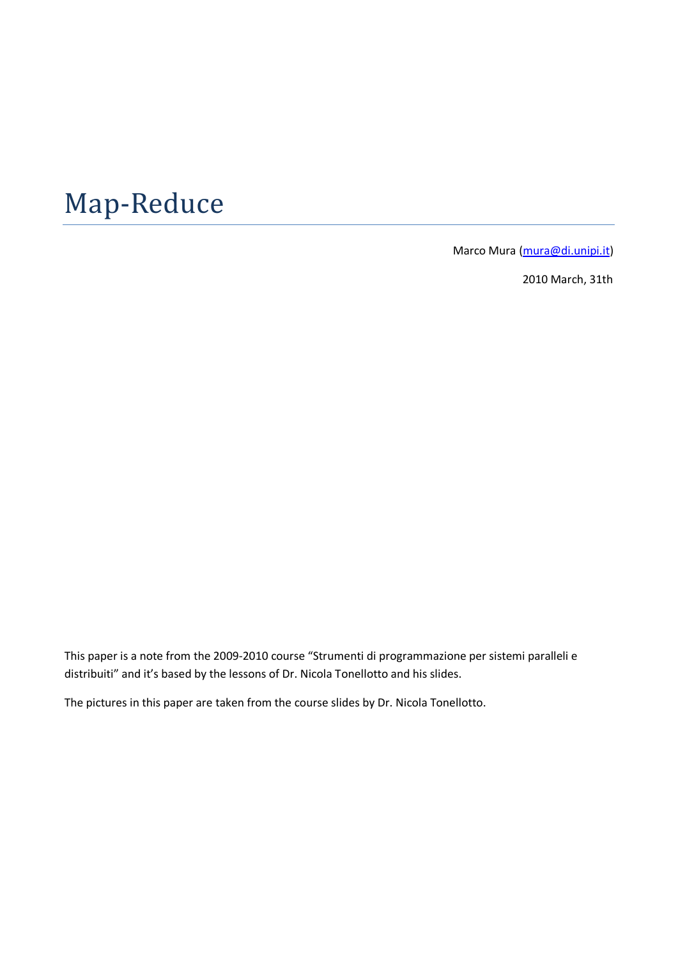# Map-Reduce

Marco Mura [\(mura@di.unipi.it\)](mailto:mura@di.unipi.it)

2010 March, 31th

This paper is a note from the 2009-2010 course "Strumenti di programmazione per sistemi paralleli e distribuiti" and it's based by the lessons of Dr. Nicola Tonellotto and his slides.

The pictures in this paper are taken from the course slides by Dr. Nicola Tonellotto.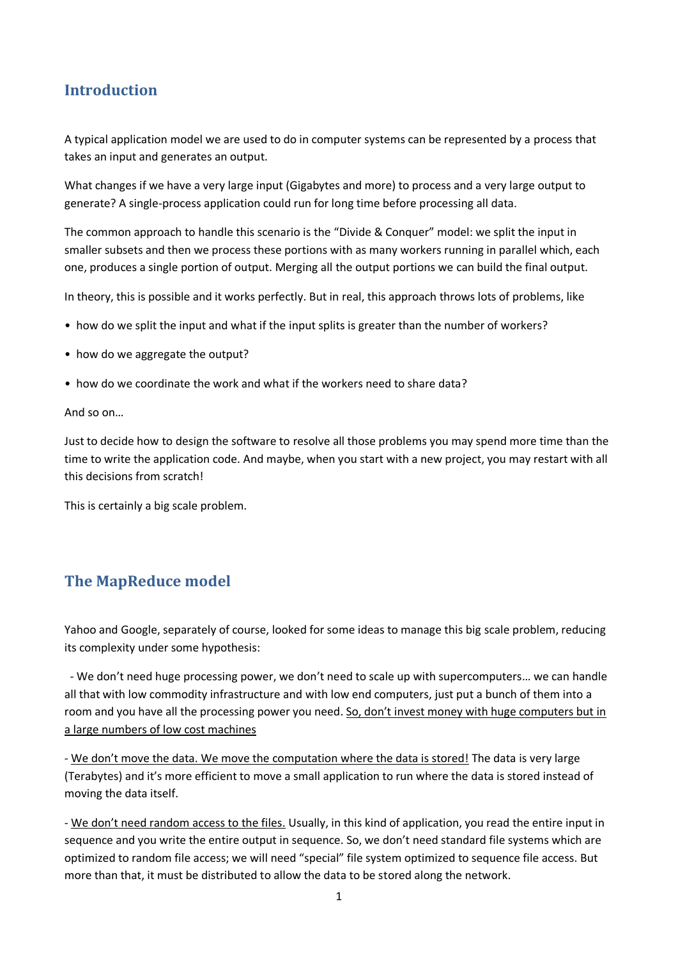### **Introduction**

A typical application model we are used to do in computer systems can be represented by a process that takes an input and generates an output.

What changes if we have a very large input (Gigabytes and more) to process and a very large output to generate? A single-process application could run for long time before processing all data.

The common approach to handle this scenario is the "Divide & Conquer" model: we split the input in smaller subsets and then we process these portions with as many workers running in parallel which, each one, produces a single portion of output. Merging all the output portions we can build the final output.

In theory, this is possible and it works perfectly. But in real, this approach throws lots of problems, like

- •  how do we split the input and what if the input splits is greater than the number of workers?
- how do we aggregate the output?
- how do we coordinate the work and what if the workers need to share data?

And so on…

Just to decide how to design the software to resolve all those problems you may spend more time than the time to write the application code. And maybe, when you start with a new project, you may restart with all this decisions from scratch!

This is certainly a big scale problem.

## **The MapReduce model**

Yahoo and Google, separately of course, looked for some ideas to manage this big scale problem, reducing its complexity under some hypothesis:

 - We don't need huge processing power, we don't need to scale up with supercomputers… we can handle all that with low commodity infrastructure and with low end computers, just put a bunch of them into a room and you have all the processing power you need. So, don't invest money with huge computers but in a large numbers of low cost machines

- We don't move the data. We move the computation where the data is stored! The data is very large (Terabytes) and it's more efficient to move a small application to run where the data is stored instead of moving the data itself.

- We don't need random access to the files. Usually, in this kind of application, you read the entire input in sequence and you write the entire output in sequence. So, we don't need standard file systems which are optimized to random file access; we will need "special" file system optimized to sequence file access. But more than that, it must be distributed to allow the data to be stored along the network.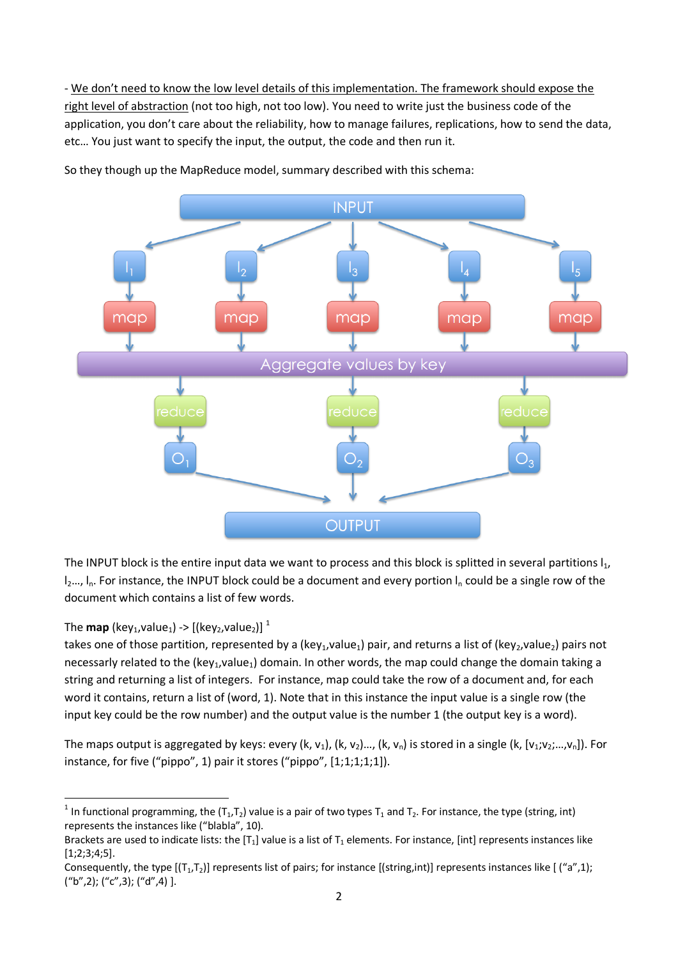- We don't need to know the low level details of this implementation. The framework should expose the right level of abstraction (not too high, not too low). You need to write just the business code of the application, you don't care about the reliability, how to manage failures, replications, how to send the data, etc… You just want to specify the input, the output, the code and then run it.



So they though up the MapReduce model, summary described with this schema:

The INPUT block is the entire input data we want to process and this block is splitted in several partitions  $I_1$ ,  $l_2$ …,  $l_n$ . For instance, the INPUT block could be a document and every portion  $l_n$  could be a single row of the document which contains a list of few words.

The **map** (key<sub>1</sub>, value<sub>1</sub>) -> [(key<sub>2</sub>, value<sub>2</sub>)]<sup>1</sup>

**.** 

takes one of those partition, represented by a (key<sub>1</sub>,value<sub>1</sub>) pair, and returns a list of (key<sub>2</sub>,value<sub>2</sub>) pairs not necessarly related to the (key<sub>1</sub>, value<sub>1</sub>) domain. In other words, the map could change the domain taking a string and returning a list of integers. For instance, map could take the row of a document and, for each word it contains, return a list of (word, 1). Note that in this instance the input value is a single row (the input key could be the row number) and the output value is the number 1 (the output key is a word).

The maps output is aggregated by keys: every  $(k, v_1)$ ,  $(k, v_2)$ …,  $(k, v_n)$  is stored in a single  $(k, [v_1; v_2; ..., v_n])$ . For instance, for five ("pippo", 1) pair it stores ("pippo",  $[1;1;1;1;1]$ ).

<sup>&</sup>lt;sup>1</sup> In functional programming, the (T<sub>1</sub>,T<sub>2</sub>) value is a pair of two types T<sub>1</sub> and T<sub>2</sub>. For instance, the type (string, int) represents the instances like ("blabla", 10).

Brackets are used to indicate lists: the  $[T_1]$  value is a list of  $T_1$  elements. For instance, [int] represents instances like [1;2;3;4;5].

Consequently, the type  $[(T_1,T_2)]$  represents list of pairs; for instance  $[$ (string,int)] represents instances like  $[$  ("a",1); ("b",2); ("c",3); ("d",4) ].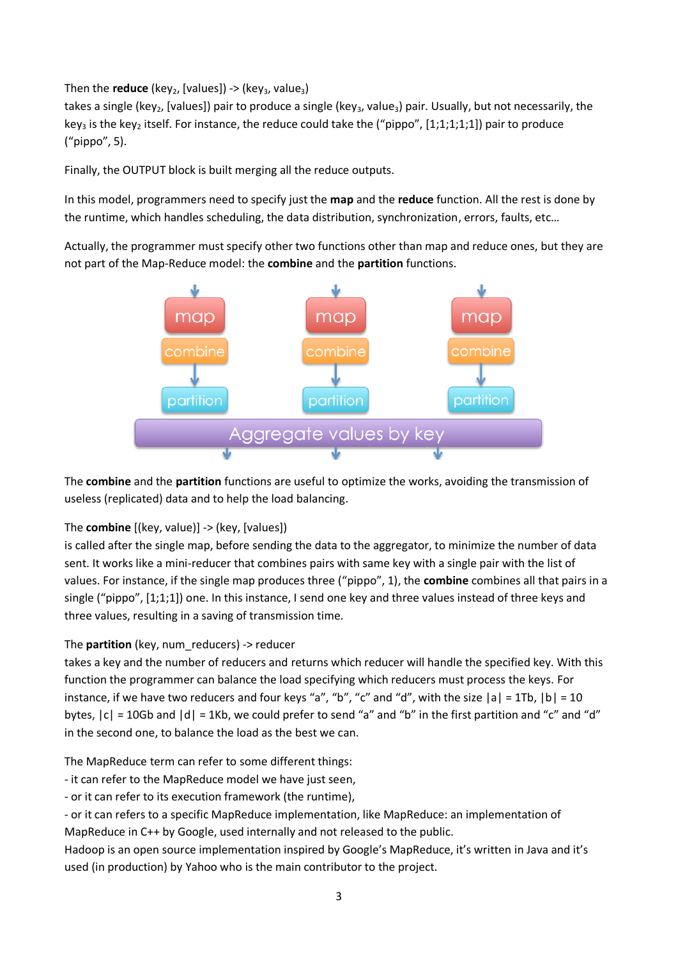Then the **reduce** (key<sub>2</sub>, [values]) -> (key<sub>3</sub>, value<sub>3</sub>)

takes a single (key<sub>2</sub>, [values]) pair to produce a single (key<sub>3</sub>, value<sub>3</sub>) pair. Usually, but not necessarily, the key<sub>3</sub> is the key<sub>2</sub> itself. For instance, the reduce could take the ("pippo", [1;1;1;1;1]) pair to produce ("pippo", 5).

Finally, the OUTPUT block is built merging all the reduce outputs.

In this model, programmers need to specify just the **map** and the **reduce** function. All the rest is done by the runtime, which handles scheduling, the data distribution, synchronization, errors, faults, etc…

Actually, the programmer must specify other two functions other than map and reduce ones, but they are not part of the Map-Reduce model: the **combine** and the **partition** functions.



The **combine** and the **partition** functions are useful to optimize the works, avoiding the transmission of useless (replicated) data and to help the load balancing.

#### The **combine** [(key, value)] -> (key, [values])

is called after the single map, before sending the data to the aggregator, to minimize the number of data sent. It works like a mini-reducer that combines pairs with same key with a single pair with the list of values. For instance, if the single map produces three ("pippo", 1), the **combine** combines all that pairs in a single ("pippo", [1;1;1]) one. In this instance, I send one key and three values instead of three keys and three values, resulting in a saving of transmission time.

#### The **partition** (key, num reducers) -> reducer

takes a key and the number of reducers and returns which reducer will handle the specified key. With this function the programmer can balance the load specifying which reducers must process the keys. For instance, if we have two reducers and four keys "a", "b", "c" and "d", with the size  $|a| = 1Tb$ ,  $|b| = 10$ bytes,  $|c| = 10Gb$  and  $|d| = 1Kb$ , we could prefer to send "a" and "b" in the first partition and "c" and "d" in the second one, to balance the load as the best we can.

The MapReduce term can refer to some different things:

- it can refer to the MapReduce model we have just seen,

- or it can refer to its execution framework (the runtime),

- or it can refers to a specific MapReduce implementation, like MapReduce: an implementation of MapReduce in C++ by Google, used internally and not released to the public.

Hadoop is an open source implementation inspired by Google's MapReduce, it's written in Java and it's used (in production) by Yahoo who is the main contributor to the project.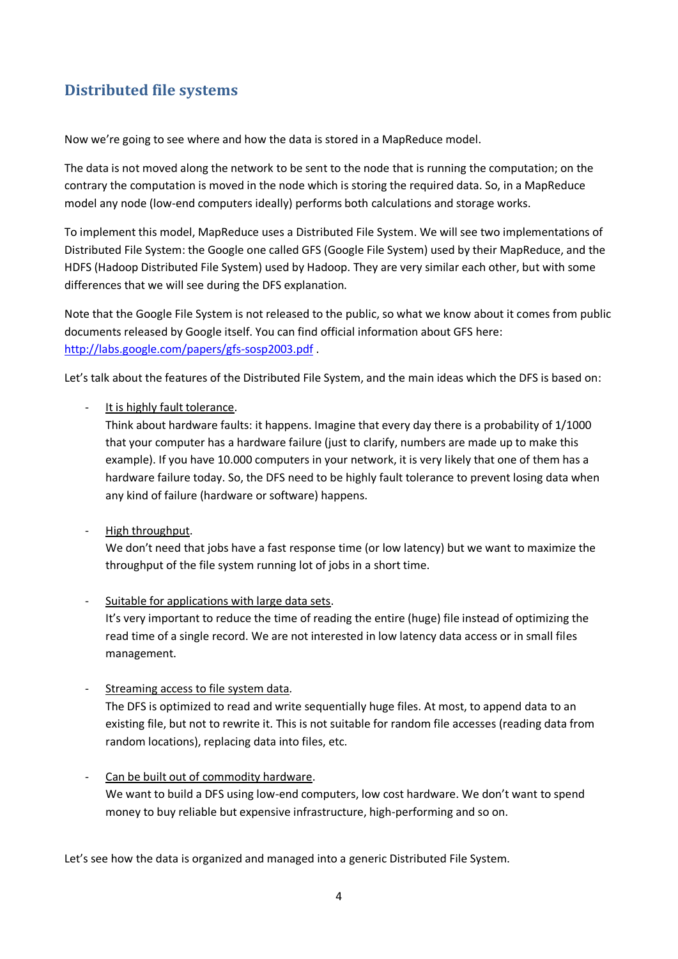## **Distributed file systems**

Now we're going to see where and how the data is stored in a MapReduce model.

The data is not moved along the network to be sent to the node that is running the computation; on the contrary the computation is moved in the node which is storing the required data. So, in a MapReduce model any node (low-end computers ideally) performs both calculations and storage works.

To implement this model, MapReduce uses a Distributed File System. We will see two implementations of Distributed File System: the Google one called GFS (Google File System) used by their MapReduce, and the HDFS (Hadoop Distributed File System) used by Hadoop. They are very similar each other, but with some differences that we will see during the DFS explanation.

Note that the Google File System is not released to the public, so what we know about it comes from public documents released by Google itself. You can find official information about GFS here: <http://labs.google.com/papers/gfs-sosp2003.pdf> .

Let's talk about the features of the Distributed File System, and the main ideas which the DFS is based on:

It is highly fault tolerance.

Think about hardware faults: it happens. Imagine that every day there is a probability of 1/1000 that your computer has a hardware failure (just to clarify, numbers are made up to make this example). If you have 10.000 computers in your network, it is very likely that one of them has a hardware failure today. So, the DFS need to be highly fault tolerance to prevent losing data when any kind of failure (hardware or software) happens.

- High throughput.

We don't need that jobs have a fast response time (or low latency) but we want to maximize the throughput of the file system running lot of jobs in a short time.

- Suitable for applications with large data sets. It's very important to reduce the time of reading the entire (huge) file instead of optimizing the read time of a single record. We are not interested in low latency data access or in small files management.
- Streaming access to file system data*.* The DFS is optimized to read and write sequentially huge files. At most, to append data to an existing file, but not to rewrite it. This is not suitable for random file accesses (reading data from random locations), replacing data into files, etc.
- Can be built out of commodity hardware. We want to build a DFS using low-end computers, low cost hardware. We don't want to spend money to buy reliable but expensive infrastructure, high-performing and so on.

Let's see how the data is organized and managed into a generic Distributed File System.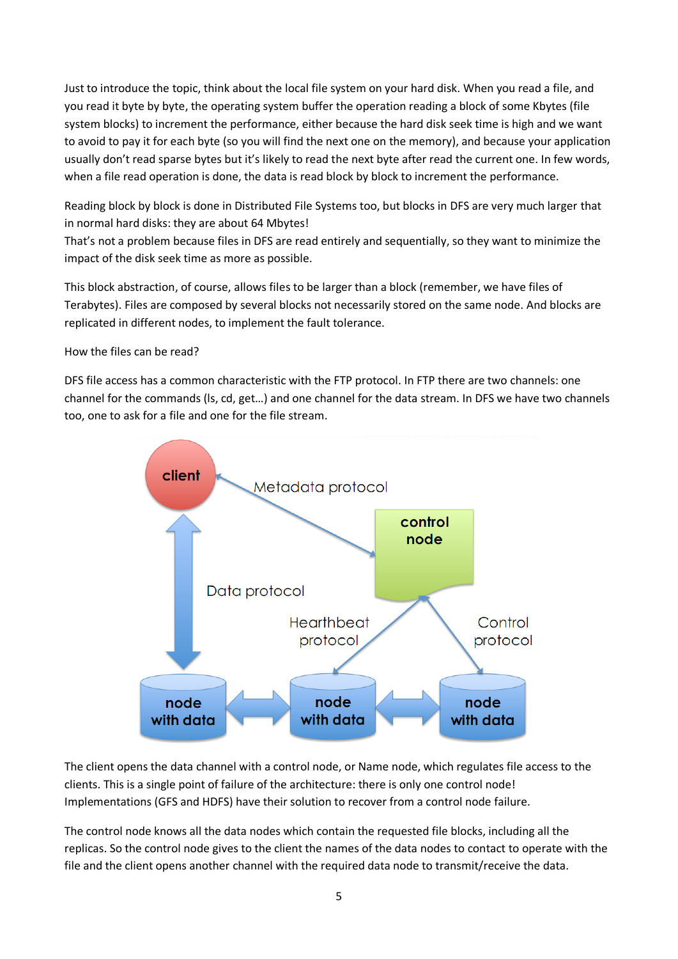Just to introduce the topic, think about the local file system on your hard disk. When you read a file, and you read it byte by byte, the operating system buffer the operation reading a block of some Kbytes (file system blocks) to increment the performance, either because the hard disk seek time is high and we want to avoid to pay it for each byte (so you will find the next one on the memory), and because your application usually don't read sparse bytes but it's likely to read the next byte after read the current one. In few words, when a file read operation is done, the data is read block by block to increment the performance.

Reading block by block is done in Distributed File Systems too, but blocks in DFS are very much larger that in normal hard disks: they are about 64 Mbytes!

That's not a problem because files in DFS are read entirely and sequentially, so they want to minimize the impact of the disk seek time as more as possible.

This block abstraction, of course, allows files to be larger than a block (remember, we have files of Terabytes). Files are composed by several blocks not necessarily stored on the same node. And blocks are replicated in different nodes, to implement the fault tolerance.

#### How the files can be read?

DFS file access has a common characteristic with the FTP protocol. In FTP there are two channels: one channel for the commands (ls, cd, get…) and one channel for the data stream. In DFS we have two channels too, one to ask for a file and one for the file stream.



The client opens the data channel with a control node, or Name node, which regulates file access to the clients. This is a single point of failure of the architecture: there is only one control node! Implementations (GFS and HDFS) have their solution to recover from a control node failure.

The control node knows all the data nodes which contain the requested file blocks, including all the replicas. So the control node gives to the client the names of the data nodes to contact to operate with the file and the client opens another channel with the required data node to transmit/receive the data.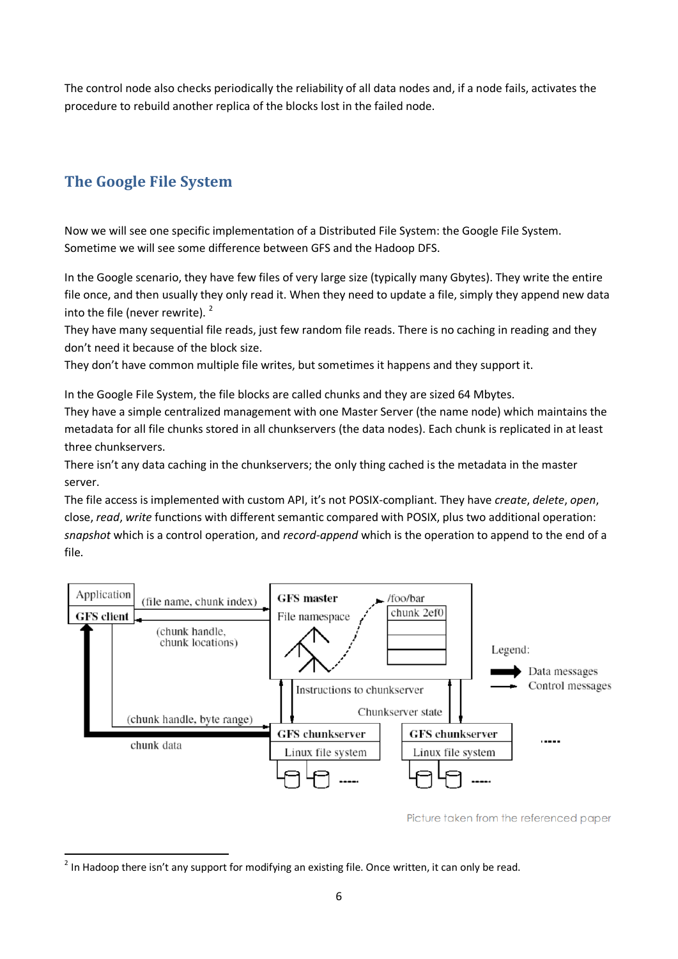The control node also checks periodically the reliability of all data nodes and, if a node fails, activates the procedure to rebuild another replica of the blocks lost in the failed node.

# **The Google File System**

-

Now we will see one specific implementation of a Distributed File System: the Google File System. Sometime we will see some difference between GFS and the Hadoop DFS.

In the Google scenario, they have few files of very large size (typically many Gbytes). They write the entire file once, and then usually they only read it. When they need to update a file, simply they append new data into the file (never rewrite).<sup>2</sup>

They have many sequential file reads, just few random file reads. There is no caching in reading and they don't need it because of the block size.

They don't have common multiple file writes, but sometimes it happens and they support it.

In the Google File System, the file blocks are called chunks and they are sized 64 Mbytes. They have a simple centralized management with one Master Server (the name node) which maintains the metadata for all file chunks stored in all chunkservers (the data nodes). Each chunk is replicated in at least three chunkservers.

There isn't any data caching in the chunkservers; the only thing cached is the metadata in the master server.

The file access is implemented with custom API, it's not POSIX-compliant. They have *create*, *delete*, *open*, close, *read*, *write* functions with different semantic compared with POSIX, plus two additional operation: *snapshot* which is a control operation, and *record-append* which is the operation to append to the end of a file.



Picture taken from the referenced paper

 $2$  In Hadoop there isn't any support for modifying an existing file. Once written, it can only be read.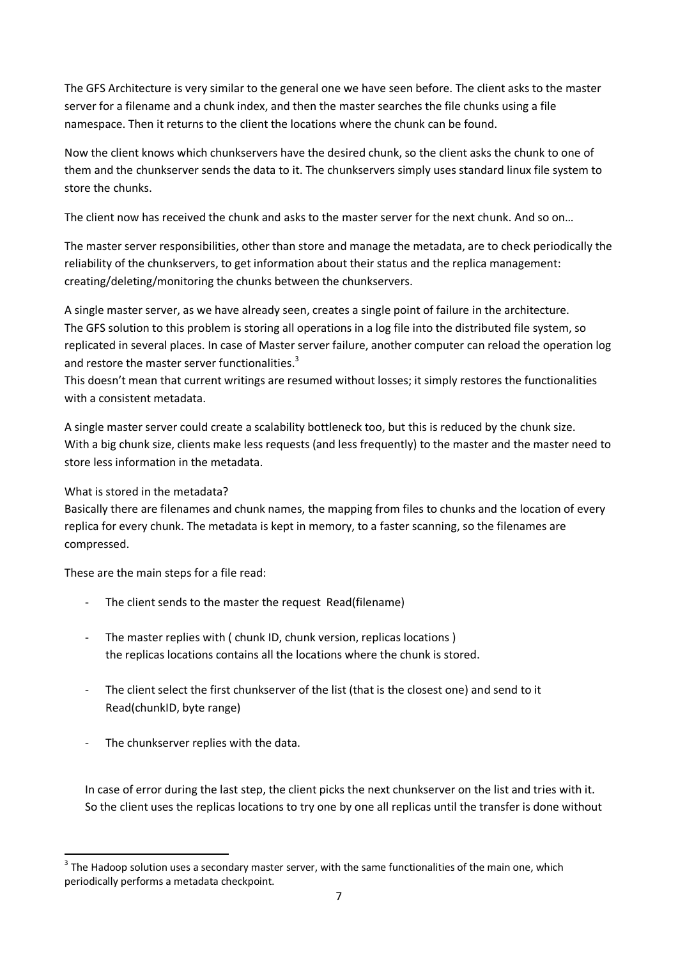The GFS Architecture is very similar to the general one we have seen before. The client asks to the master server for a filename and a chunk index, and then the master searches the file chunks using a file namespace. Then it returns to the client the locations where the chunk can be found.

Now the client knows which chunkservers have the desired chunk, so the client asks the chunk to one of them and the chunkserver sends the data to it. The chunkservers simply uses standard linux file system to store the chunks.

The client now has received the chunk and asks to the master server for the next chunk. And so on…

The master server responsibilities, other than store and manage the metadata, are to check periodically the reliability of the chunkservers, to get information about their status and the replica management: creating/deleting/monitoring the chunks between the chunkservers.

A single master server, as we have already seen, creates a single point of failure in the architecture. The GFS solution to this problem is storing all operations in a log file into the distributed file system, so replicated in several places. In case of Master server failure, another computer can reload the operation log and restore the master server functionalities.<sup>3</sup>

This doesn't mean that current writings are resumed without losses; it simply restores the functionalities with a consistent metadata.

A single master server could create a scalability bottleneck too, but this is reduced by the chunk size. With a big chunk size, clients make less requests (and less frequently) to the master and the master need to store less information in the metadata.

What is stored in the metadata?

Basically there are filenames and chunk names, the mapping from files to chunks and the location of every replica for every chunk. The metadata is kept in memory, to a faster scanning, so the filenames are compressed.

These are the main steps for a file read:

- The client sends to the master the request Read(filename)
- The master replies with ( chunk ID, chunk version, replicas locations ) the replicas locations contains all the locations where the chunk is stored.
- The client select the first chunkserver of the list (that is the closest one) and send to it Read(chunkID, byte range)
- The chunkserver replies with the data.

-

In case of error during the last step, the client picks the next chunkserver on the list and tries with it. So the client uses the replicas locations to try one by one all replicas until the transfer is done without

 $3$  The Hadoop solution uses a secondary master server, with the same functionalities of the main one, which periodically performs a metadata checkpoint.